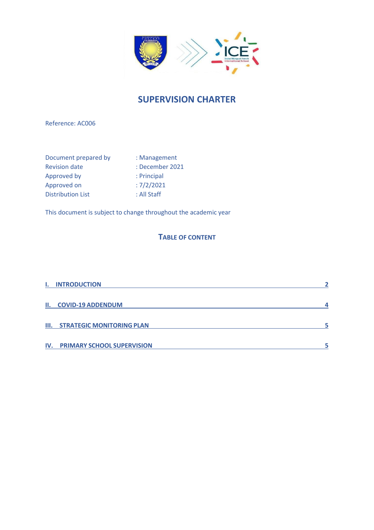

# **SUPERVISION CHARTER**

Reference: AC006

| Document prepared by     | : Management    |
|--------------------------|-----------------|
| <b>Revision date</b>     | : December 2021 |
| Approved by              | : Principal     |
| Approved on              | :7/2/2021       |
| <b>Distribution List</b> | : All Staff     |

This document is subject to change throughout the academic year

## **TABLE OF CONTENT**

| <b>I. INTRODUCTION</b>                |  |
|---------------------------------------|--|
| II. COVID-19 ADDENDUM                 |  |
| <b>III. STRATEGIC MONITORING PLAN</b> |  |
| <b>IV. PRIMARY SCHOOL SUPERVISION</b> |  |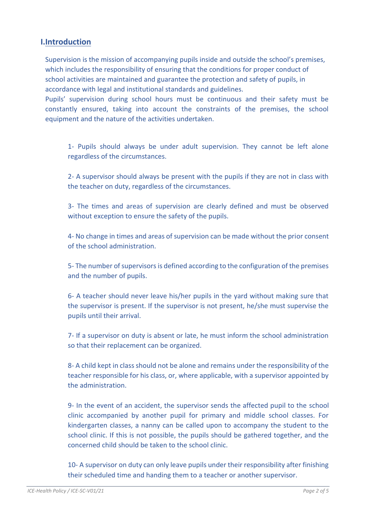#### <span id="page-1-0"></span>**I.Introduction**

Supervision is the mission of accompanying pupils inside and outside the school's premises, which includes the responsibility of ensuring that the conditions for proper conduct of school activities are maintained and guarantee the protection and safety of pupils, in accordance with legal and institutional standards and guidelines.

Pupils' supervision during school hours must be continuous and their safety must be constantly ensured, taking into account the constraints of the premises, the school equipment and the nature of the activities undertaken.

1- Pupils should always be under adult supervision. They cannot be left alone regardless of the circumstances.

2- A supervisor should always be present with the pupils if they are not in class with the teacher on duty, regardless of the circumstances.

3- The times and areas of supervision are clearly defined and must be observed without exception to ensure the safety of the pupils.

4- No change in times and areas of supervision can be made without the prior consent of the school administration.

5- The number of supervisors is defined according to the configuration of the premises and the number of pupils.

6- A teacher should never leave his/her pupils in the yard without making sure that the supervisor is present. If the supervisor is not present, he/she must supervise the pupils until their arrival.

7- If a supervisor on duty is absent or late, he must inform the school administration so that their replacement can be organized.

8- A child kept in class should not be alone and remains under the responsibility of the teacher responsible for his class, or, where applicable, with a supervisor appointed by the administration.

9- In the event of an accident, the supervisor sends the affected pupil to the school clinic accompanied by another pupil for primary and middle school classes. For kindergarten classes, a nanny can be called upon to accompany the student to the school clinic. If this is not possible, the pupils should be gathered together, and the concerned child should be taken to the school clinic.

10- A supervisor on duty can only leave pupils under their responsibility after finishing their scheduled time and handing them to a teacher or another supervisor.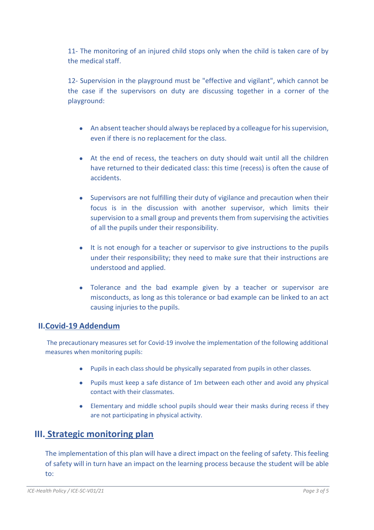11- The monitoring of an injured child stops only when the child is taken care of by the medical staff.

12- Supervision in the playground must be "effective and vigilant", which cannot be the case if the supervisors on duty are discussing together in a corner of the playground:

- An absent teacher should always be replaced by a colleague for his supervision, even if there is no replacement for the class.
- At the end of recess, the teachers on duty should wait until all the children have returned to their dedicated class: this time (recess) is often the cause of accidents.
- Supervisors are not fulfilling their duty of vigilance and precaution when their focus is in the discussion with another supervisor, which limits their supervision to a small group and prevents them from supervising the activities of all the pupils under their responsibility.
- It is not enough for a teacher or supervisor to give instructions to the pupils under their responsibility; they need to make sure that their instructions are understood and applied.
- Tolerance and the bad example given by a teacher or supervisor are misconducts, as long as this tolerance or bad example can be linked to an act causing injuries to the pupils.

#### <span id="page-2-0"></span>**II.Covid-19 Addendum**

The precautionary measures set for Covid-19 involve the implementation of the following additional measures when monitoring pupils:

- Pupils in each class should be physically separated from pupils in other classes.
- Pupils must keep a safe distance of 1m between each other and avoid any physical contact with their classmates.
- Elementary and middle school pupils should wear their masks during recess if they are not participating in physical activity.

# <span id="page-2-1"></span>**III. Strategic monitoring plan**

The implementation of this plan will have a direct impact on the feeling of safety. This feeling of safety will in turn have an impact on the learning process because the student will be able to: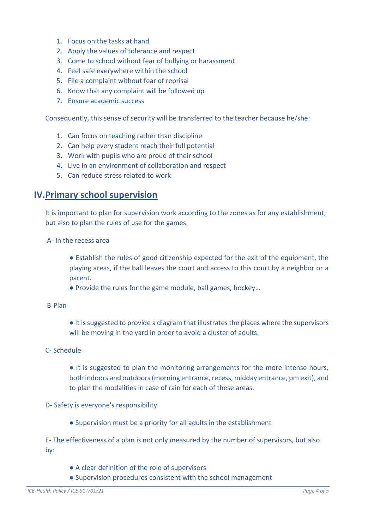- 1. Focus on the tasks at hand
- 2. Apply the values of tolerance and respect
- 3. Come to school without fear of bullying or harassment
- 4. Feel safe everywhere within the school
- 5. File a complaint without fear of reprisal
- 6. Know that any complaint will be followed up
- 7. Ensure academic success

Consequently, this sense of security will be transferred to the teacher because he/she:

- 1. Can focus on teaching rather than discipline
- 2. Can help every student reach their full potential
- 3. Work with pupils who are proud of their school
- 4. Live in an environment of collaboration and respect
- 5. Can reduce stress related to work

### <span id="page-3-0"></span>**IV.Primary school supervision**

It is important to plan for supervision work according to the zones as for any establishment, but also to plan the rules of use for the games.

A- In the recess area

- Establish the rules of good citizenship expected for the exit of the equipment, the playing areas, if the ball leaves the court and access to this court by a neighbor or a parent.
- Provide the rules for the game module, ball games, hockey...
- B-Plan
- It is suggested to provide a diagram that illustrates the places where the supervisors will be moving in the yard in order to avoid a cluster of adults.
- C- Schedule
	- It is suggested to plan the monitoring arrangements for the more intense hours, both indoors and outdoors (morning entrance, recess, midday entrance, pm exit), and to plan the modalities in case of rain for each of these areas.

#### D- Safety is everyone's responsibility

● Supervision must be a priority for all adults in the establishment

E- The effectiveness of a plan is not only measured by the number of supervisors, but also by:

- A clear definition of the role of supervisors
- Supervision procedures consistent with the school management